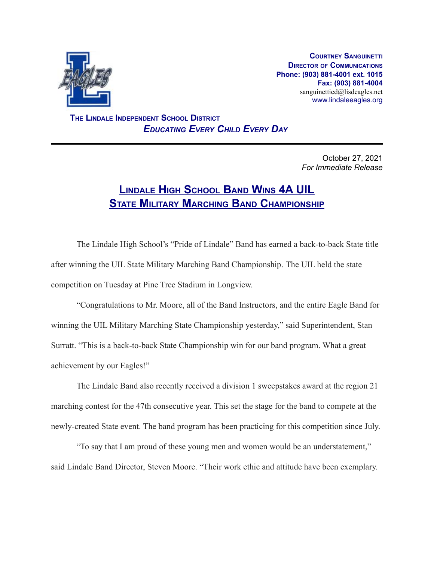

**COURTNEY SANGUINETTI DIRECTOR OF COMMUNICATIONS Phone: (903) 881-4001 ext. 1015 Fax: (903) 881-4004** sanguinetticd@lisdeagles.net www.lindaleeagles.org

**THE LINDALE INDEPENDENT SCHOOL DISTRICT** *EDUCATING EVERY CHILD EVERY DAY*

> October 27, 2021 *For Immediate Release*

## **LINDALE HIGH SCHOOL BAND WINS 4A UIL STATE MILITARY MARCHING BAND CHAMPIONSHIP**

The Lindale High School's "Pride of Lindale" Band has earned a back-to-back State title after winning the UIL State Military Marching Band Championship. The UIL held the state competition on Tuesday at Pine Tree Stadium in Longview.

"Congratulations to Mr. Moore, all of the Band Instructors, and the entire Eagle Band for winning the UIL Military Marching State Championship yesterday," said Superintendent, Stan Surratt. "This is a back-to-back State Championship win for our band program. What a great achievement by our Eagles!"

The Lindale Band also recently received a division 1 sweepstakes award at the region 21 marching contest for the 47th consecutive year. This set the stage for the band to compete at the newly-created State event. The band program has been practicing for this competition since July.

"To say that I am proud of these young men and women would be an understatement," said Lindale Band Director, Steven Moore. "Their work ethic and attitude have been exemplary.